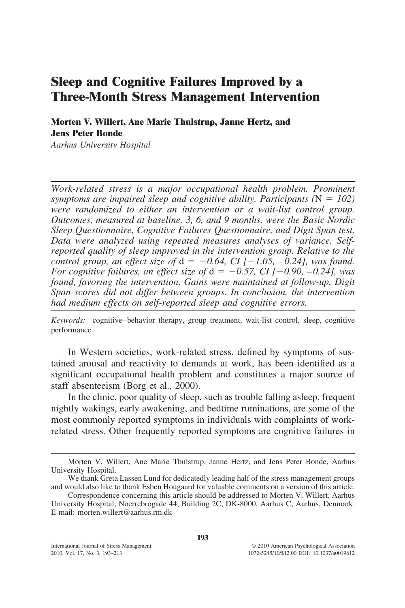# **Sleep and Cognitive Failures Improved by a Three-Month Stress Management Intervention**

**Morten V. Willert, Ane Marie Thulstrup, Janne Hertz, and Jens Peter Bonde**

*Aarhus University Hospital*

*Work-related stress is a major occupational health problem. Prominent symptoms are impaired sleep and cognitive ability. Participants*  $(N = 102)$ *were randomized to either an intervention or a wait-list control group. Outcomes, measured at baseline, 3, 6, and 9 months, were the Basic Nordic Sleep Questionnaire, Cognitive Failures Questionnaire, and Digit Span test. Data were analyzed using repeated measures analyses of variance. Selfreported quality of sleep improved in the intervention group. Relative to the control group, an effect size of*  $d = -0.64$ , *CI* [ $-1.05$ ,  $-0.24$ ], was found. For cognitive failures, an effect size of  $d = -0.57$ , CI  $[-0.90, -0.24]$ , was *found, favoring the intervention. Gains were maintained at follow-up. Digit Span scores did not differ between groups. In conclusion, the intervention had medium effects on self-reported sleep and cognitive errors.*

*Keywords:* cognitive–behavior therapy, group treatment, wait-list control, sleep, cognitive performance

In Western societies, work-related stress, defined by symptoms of sustained arousal and reactivity to demands at work, has been identified as a significant occupational health problem and constitutes a major source of staff absenteeism (Borg et al., 2000).

In the clinic, poor quality of sleep, such as trouble falling asleep, frequent nightly wakings, early awakening, and bedtime ruminations, are some of the most commonly reported symptoms in individuals with complaints of workrelated stress. Other frequently reported symptoms are cognitive failures in

Morten V. Willert, Ane Marie Thulstrup, Janne Hertz, and Jens Peter Bonde, Aarhus University Hospital.

We thank Greta Lassen Lund for dedicatedly leading half of the stress management groups and would also like to thank Esben Hougaard for valuable comments on a version of this article.

Correspondence concerning this article should be addressed to Morten V. Willert, Aarhus University Hospital, Noerrebrogade 44, Building 2C, DK-8000, Aarhus C, Aarhus, Denmark. E-mail: morten.willert@aarhus.rm.dk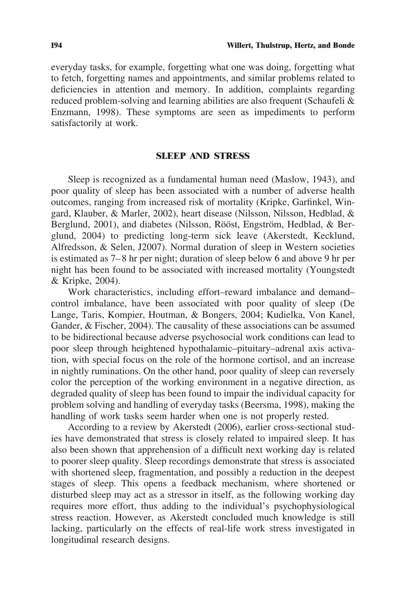everyday tasks, for example, forgetting what one was doing, forgetting what to fetch, forgetting names and appointments, and similar problems related to deficiencies in attention and memory. In addition, complaints regarding reduced problem-solving and learning abilities are also frequent (Schaufeli & Enzmann, 1998). These symptoms are seen as impediments to perform satisfactorily at work.

### **SLEEP AND STRESS**

Sleep is recognized as a fundamental human need (Maslow, 1943), and poor quality of sleep has been associated with a number of adverse health outcomes, ranging from increased risk of mortality (Kripke, Garfinkel, Wingard, Klauber, & Marler, 2002), heart disease (Nilsson, Nilsson, Hedblad, & Berglund, 2001), and diabetes (Nilsson, Rööst, Engström, Hedblad, & Berglund, 2004) to predicting long-term sick leave (Akerstedt, Kecklund, Alfredsson, & Selen, J2007). Normal duration of sleep in Western societies is estimated as 7–8 hr per night; duration of sleep below 6 and above 9 hr per night has been found to be associated with increased mortality (Youngstedt & Kripke, 2004).

Work characteristics, including effort–reward imbalance and demand– control imbalance, have been associated with poor quality of sleep (De Lange, Taris, Kompier, Houtman, & Bongers, 2004; Kudielka, Von Kanel, Gander, & Fischer, 2004). The causality of these associations can be assumed to be bidirectional because adverse psychosocial work conditions can lead to poor sleep through heightened hypothalamic–pituitary–adrenal axis activation, with special focus on the role of the hormone cortisol, and an increase in nightly ruminations. On the other hand, poor quality of sleep can reversely color the perception of the working environment in a negative direction, as degraded quality of sleep has been found to impair the individual capacity for problem solving and handling of everyday tasks (Beersma, 1998), making the handling of work tasks seem harder when one is not properly rested.

According to a review by Akerstedt (2006), earlier cross-sectional studies have demonstrated that stress is closely related to impaired sleep. It has also been shown that apprehension of a difficult next working day is related to poorer sleep quality. Sleep recordings demonstrate that stress is associated with shortened sleep, fragmentation, and possibly a reduction in the deepest stages of sleep. This opens a feedback mechanism, where shortened or disturbed sleep may act as a stressor in itself, as the following working day requires more effort, thus adding to the individual's psychophysiological stress reaction. However, as Akerstedt concluded much knowledge is still lacking, particularly on the effects of real-life work stress investigated in longitudinal research designs.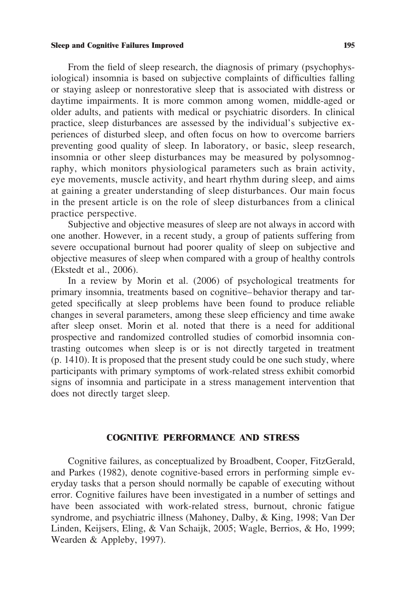From the field of sleep research, the diagnosis of primary (psychophysiological) insomnia is based on subjective complaints of difficulties falling or staying asleep or nonrestorative sleep that is associated with distress or daytime impairments. It is more common among women, middle-aged or older adults, and patients with medical or psychiatric disorders. In clinical practice, sleep disturbances are assessed by the individual's subjective experiences of disturbed sleep, and often focus on how to overcome barriers preventing good quality of sleep. In laboratory, or basic, sleep research, insomnia or other sleep disturbances may be measured by polysomnography, which monitors physiological parameters such as brain activity, eye movements, muscle activity, and heart rhythm during sleep, and aims at gaining a greater understanding of sleep disturbances. Our main focus in the present article is on the role of sleep disturbances from a clinical practice perspective.

Subjective and objective measures of sleep are not always in accord with one another. However, in a recent study, a group of patients suffering from severe occupational burnout had poorer quality of sleep on subjective and objective measures of sleep when compared with a group of healthy controls (Ekstedt et al., 2006).

In a review by Morin et al. (2006) of psychological treatments for primary insomnia, treatments based on cognitive–behavior therapy and targeted specifically at sleep problems have been found to produce reliable changes in several parameters, among these sleep efficiency and time awake after sleep onset. Morin et al. noted that there is a need for additional prospective and randomized controlled studies of comorbid insomnia contrasting outcomes when sleep is or is not directly targeted in treatment (p. 1410). It is proposed that the present study could be one such study, where participants with primary symptoms of work-related stress exhibit comorbid signs of insomnia and participate in a stress management intervention that does not directly target sleep.

### **COGNITIVE PERFORMANCE AND STRESS**

Cognitive failures, as conceptualized by Broadbent, Cooper, FitzGerald, and Parkes (1982), denote cognitive-based errors in performing simple everyday tasks that a person should normally be capable of executing without error. Cognitive failures have been investigated in a number of settings and have been associated with work-related stress, burnout, chronic fatigue syndrome, and psychiatric illness (Mahoney, Dalby, & King, 1998; Van Der Linden, Keijsers, Eling, & Van Schaijk, 2005; Wagle, Berrios, & Ho, 1999; Wearden & Appleby, 1997).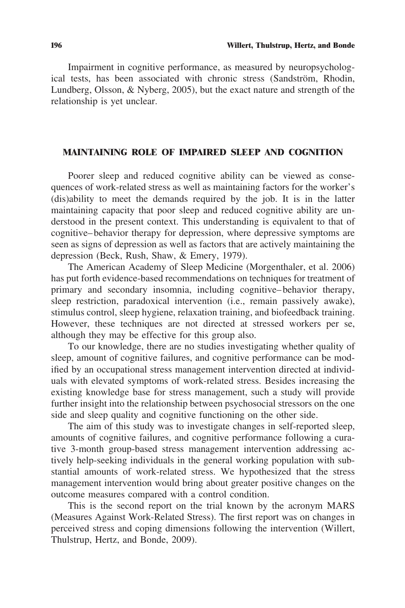Impairment in cognitive performance, as measured by neuropsychological tests, has been associated with chronic stress (Sandström, Rhodin, Lundberg, Olsson, & Nyberg, 2005), but the exact nature and strength of the relationship is yet unclear.

### **MAINTAINING ROLE OF IMPAIRED SLEEP AND COGNITION**

Poorer sleep and reduced cognitive ability can be viewed as consequences of work-related stress as well as maintaining factors for the worker's (dis)ability to meet the demands required by the job. It is in the latter maintaining capacity that poor sleep and reduced cognitive ability are understood in the present context. This understanding is equivalent to that of cognitive–behavior therapy for depression, where depressive symptoms are seen as signs of depression as well as factors that are actively maintaining the depression (Beck, Rush, Shaw, & Emery, 1979).

The American Academy of Sleep Medicine (Morgenthaler, et al. 2006) has put forth evidence-based recommendations on techniques for treatment of primary and secondary insomnia, including cognitive–behavior therapy, sleep restriction, paradoxical intervention (i.e., remain passively awake), stimulus control, sleep hygiene, relaxation training, and biofeedback training. However, these techniques are not directed at stressed workers per se, although they may be effective for this group also.

To our knowledge, there are no studies investigating whether quality of sleep, amount of cognitive failures, and cognitive performance can be modified by an occupational stress management intervention directed at individuals with elevated symptoms of work-related stress. Besides increasing the existing knowledge base for stress management, such a study will provide further insight into the relationship between psychosocial stressors on the one side and sleep quality and cognitive functioning on the other side.

The aim of this study was to investigate changes in self-reported sleep, amounts of cognitive failures, and cognitive performance following a curative 3-month group-based stress management intervention addressing actively help-seeking individuals in the general working population with substantial amounts of work-related stress. We hypothesized that the stress management intervention would bring about greater positive changes on the outcome measures compared with a control condition.

This is the second report on the trial known by the acronym MARS (Measures Against Work-Related Stress). The first report was on changes in perceived stress and coping dimensions following the intervention (Willert, Thulstrup, Hertz, and Bonde, 2009).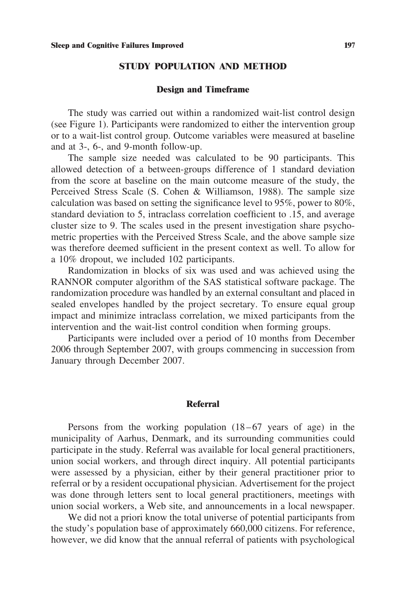### **STUDY POPULATION AND METHOD**

### **Design and Timeframe**

The study was carried out within a randomized wait-list control design (see Figure 1). Participants were randomized to either the intervention group or to a wait-list control group. Outcome variables were measured at baseline and at 3-, 6-, and 9-month follow-up.

The sample size needed was calculated to be 90 participants. This allowed detection of a between-groups difference of 1 standard deviation from the score at baseline on the main outcome measure of the study, the Perceived Stress Scale (S. Cohen & Williamson, 1988). The sample size calculation was based on setting the significance level to 95%, power to 80%, standard deviation to 5, intraclass correlation coefficient to .15, and average cluster size to 9. The scales used in the present investigation share psychometric properties with the Perceived Stress Scale, and the above sample size was therefore deemed sufficient in the present context as well. To allow for a 10% dropout, we included 102 participants.

Randomization in blocks of six was used and was achieved using the RANNOR computer algorithm of the SAS statistical software package. The randomization procedure was handled by an external consultant and placed in sealed envelopes handled by the project secretary. To ensure equal group impact and minimize intraclass correlation, we mixed participants from the intervention and the wait-list control condition when forming groups.

Participants were included over a period of 10 months from December 2006 through September 2007, with groups commencing in succession from January through December 2007.

#### **Referral**

Persons from the working population (18–67 years of age) in the municipality of Aarhus, Denmark, and its surrounding communities could participate in the study. Referral was available for local general practitioners, union social workers, and through direct inquiry. All potential participants were assessed by a physician, either by their general practitioner prior to referral or by a resident occupational physician. Advertisement for the project was done through letters sent to local general practitioners, meetings with union social workers, a Web site, and announcements in a local newspaper.

We did not a priori know the total universe of potential participants from the study's population base of approximately 660,000 citizens. For reference, however, we did know that the annual referral of patients with psychological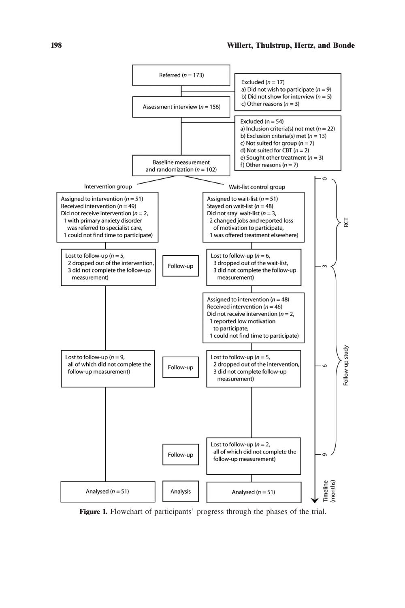

**Figure 1.** Flowchart of participants' progress through the phases of the trial.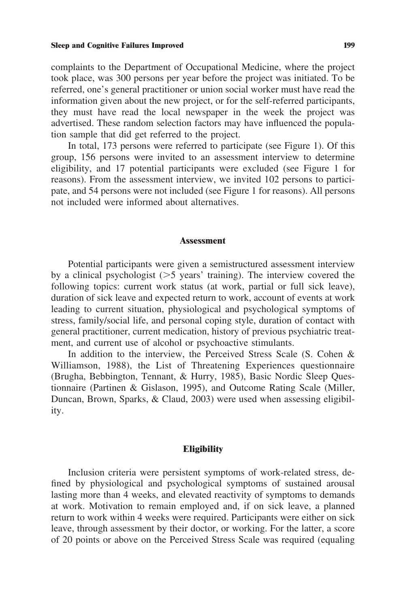complaints to the Department of Occupational Medicine, where the project took place, was 300 persons per year before the project was initiated. To be referred, one's general practitioner or union social worker must have read the information given about the new project, or for the self-referred participants, they must have read the local newspaper in the week the project was advertised. These random selection factors may have influenced the population sample that did get referred to the project.

In total, 173 persons were referred to participate (see Figure 1). Of this group, 156 persons were invited to an assessment interview to determine eligibility, and 17 potential participants were excluded (see Figure 1 for reasons). From the assessment interview, we invited 102 persons to participate, and 54 persons were not included (see Figure 1 for reasons). All persons not included were informed about alternatives.

### **Assessment**

Potential participants were given a semistructured assessment interview by a clinical psychologist  $(55 \text{ years}$ ' training). The interview covered the following topics: current work status (at work, partial or full sick leave), duration of sick leave and expected return to work, account of events at work leading to current situation, physiological and psychological symptoms of stress, family/social life, and personal coping style, duration of contact with general practitioner, current medication, history of previous psychiatric treatment, and current use of alcohol or psychoactive stimulants.

In addition to the interview, the Perceived Stress Scale (S. Cohen & Williamson, 1988), the List of Threatening Experiences questionnaire (Brugha, Bebbington, Tennant, & Hurry, 1985), Basic Nordic Sleep Questionnaire (Partinen & Gislason, 1995), and Outcome Rating Scale (Miller, Duncan, Brown, Sparks, & Claud, 2003) were used when assessing eligibility.

### **Eligibility**

Inclusion criteria were persistent symptoms of work-related stress, defined by physiological and psychological symptoms of sustained arousal lasting more than 4 weeks, and elevated reactivity of symptoms to demands at work. Motivation to remain employed and, if on sick leave, a planned return to work within 4 weeks were required. Participants were either on sick leave, through assessment by their doctor, or working. For the latter, a score of 20 points or above on the Perceived Stress Scale was required (equaling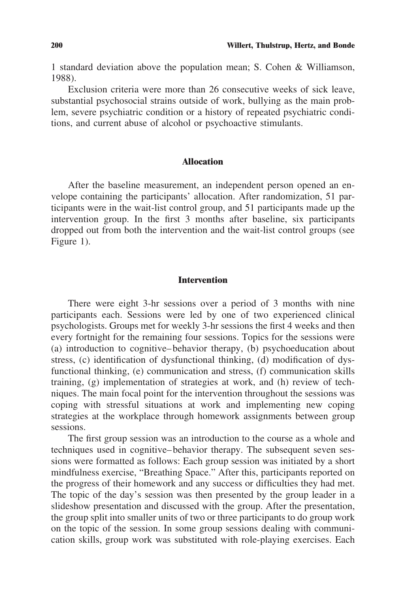1 standard deviation above the population mean; S. Cohen & Williamson, 1988).

Exclusion criteria were more than 26 consecutive weeks of sick leave, substantial psychosocial strains outside of work, bullying as the main problem, severe psychiatric condition or a history of repeated psychiatric conditions, and current abuse of alcohol or psychoactive stimulants.

### **Allocation**

After the baseline measurement, an independent person opened an envelope containing the participants' allocation. After randomization, 51 participants were in the wait-list control group, and 51 participants made up the intervention group. In the first 3 months after baseline, six participants dropped out from both the intervention and the wait-list control groups (see Figure 1).

### **Intervention**

There were eight 3-hr sessions over a period of 3 months with nine participants each. Sessions were led by one of two experienced clinical psychologists. Groups met for weekly 3-hr sessions the first 4 weeks and then every fortnight for the remaining four sessions. Topics for the sessions were (a) introduction to cognitive–behavior therapy, (b) psychoeducation about stress, (c) identification of dysfunctional thinking, (d) modification of dysfunctional thinking, (e) communication and stress, (f) communication skills training, (g) implementation of strategies at work, and (h) review of techniques. The main focal point for the intervention throughout the sessions was coping with stressful situations at work and implementing new coping strategies at the workplace through homework assignments between group sessions.

The first group session was an introduction to the course as a whole and techniques used in cognitive–behavior therapy. The subsequent seven sessions were formatted as follows: Each group session was initiated by a short mindfulness exercise, "Breathing Space." After this, participants reported on the progress of their homework and any success or difficulties they had met. The topic of the day's session was then presented by the group leader in a slideshow presentation and discussed with the group. After the presentation, the group split into smaller units of two or three participants to do group work on the topic of the session. In some group sessions dealing with communication skills, group work was substituted with role-playing exercises. Each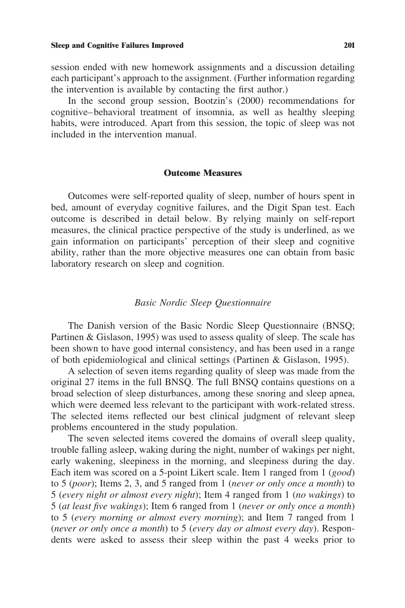session ended with new homework assignments and a discussion detailing each participant's approach to the assignment. (Further information regarding the intervention is available by contacting the first author.)

In the second group session, Bootzin's (2000) recommendations for cognitive–behavioral treatment of insomnia, as well as healthy sleeping habits, were introduced. Apart from this session, the topic of sleep was not included in the intervention manual.

### **Outcome Measures**

Outcomes were self-reported quality of sleep, number of hours spent in bed, amount of everyday cognitive failures, and the Digit Span test. Each outcome is described in detail below. By relying mainly on self-report measures, the clinical practice perspective of the study is underlined, as we gain information on participants' perception of their sleep and cognitive ability, rather than the more objective measures one can obtain from basic laboratory research on sleep and cognition.

### *Basic Nordic Sleep Questionnaire*

The Danish version of the Basic Nordic Sleep Questionnaire (BNSQ; Partinen & Gislason, 1995) was used to assess quality of sleep. The scale has been shown to have good internal consistency, and has been used in a range of both epidemiological and clinical settings (Partinen & Gislason, 1995).

A selection of seven items regarding quality of sleep was made from the original 27 items in the full BNSQ. The full BNSQ contains questions on a broad selection of sleep disturbances, among these snoring and sleep apnea, which were deemed less relevant to the participant with work-related stress. The selected items reflected our best clinical judgment of relevant sleep problems encountered in the study population.

The seven selected items covered the domains of overall sleep quality, trouble falling asleep, waking during the night, number of wakings per night, early wakening, sleepiness in the morning, and sleepiness during the day. Each item was scored on a 5-point Likert scale. Item 1 ranged from 1 (*good*) to 5 (*poor*); Items 2, 3, and 5 ranged from 1 (*never or only once a month*) to 5 (*every night or almost every night*); Item 4 ranged from 1 (*no wakings*) to 5 (*at least five wakings*); Item 6 ranged from 1 (*never or only once a month*) to 5 (*every morning or almost every morning*); and Item 7 ranged from 1 (*never or only once a month*) to 5 (*every day or almost every day*). Respondents were asked to assess their sleep within the past 4 weeks prior to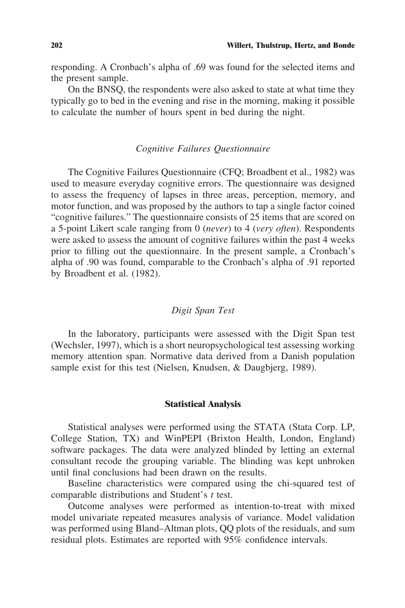responding. A Cronbach's alpha of .69 was found for the selected items and the present sample.

On the BNSQ, the respondents were also asked to state at what time they typically go to bed in the evening and rise in the morning, making it possible to calculate the number of hours spent in bed during the night.

## *Cognitive Failures Questionnaire*

The Cognitive Failures Questionnaire (CFQ; Broadbent et al., 1982) was used to measure everyday cognitive errors. The questionnaire was designed to assess the frequency of lapses in three areas, perception, memory, and motor function, and was proposed by the authors to tap a single factor coined "cognitive failures." The questionnaire consists of 25 items that are scored on a 5-point Likert scale ranging from 0 (*never*) to 4 (*very often*). Respondents were asked to assess the amount of cognitive failures within the past 4 weeks prior to filling out the questionnaire. In the present sample, a Cronbach's alpha of .90 was found, comparable to the Cronbach's alpha of .91 reported by Broadbent et al. (1982).

# *Digit Span Test*

In the laboratory, participants were assessed with the Digit Span test (Wechsler, 1997), which is a short neuropsychological test assessing working memory attention span. Normative data derived from a Danish population sample exist for this test (Nielsen, Knudsen, & Daugbjerg, 1989).

### **Statistical Analysis**

Statistical analyses were performed using the STATA (Stata Corp. LP, College Station, TX) and WinPEPI (Brixton Health, London, England) software packages. The data were analyzed blinded by letting an external consultant recode the grouping variable. The blinding was kept unbroken until final conclusions had been drawn on the results.

Baseline characteristics were compared using the chi-squared test of comparable distributions and Student's *t* test.

Outcome analyses were performed as intention-to-treat with mixed model univariate repeated measures analysis of variance. Model validation was performed using Bland–Altman plots, QQ plots of the residuals, and sum residual plots. Estimates are reported with 95% confidence intervals.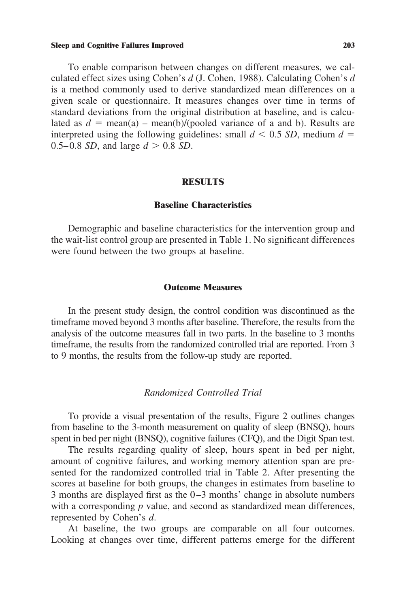To enable comparison between changes on different measures, we calculated effect sizes using Cohen's *d* (J. Cohen, 1988). Calculating Cohen's *d* is a method commonly used to derive standardized mean differences on a given scale or questionnaire. It measures changes over time in terms of standard deviations from the original distribution at baseline, and is calculated as  $d = \text{mean}(a) - \text{mean}(b) / (\text{pooled variance of a and b)}$ . Results are interpreted using the following guidelines: small  $d \le 0.5$  *SD*, medium  $d =$ 0.5–0.8 *SD*, and large  $d > 0.8$  *SD*.

### **RESULTS**

### **Baseline Characteristics**

Demographic and baseline characteristics for the intervention group and the wait-list control group are presented in Table 1. No significant differences were found between the two groups at baseline.

### **Outcome Measures**

In the present study design, the control condition was discontinued as the timeframe moved beyond 3 months after baseline. Therefore, the results from the analysis of the outcome measures fall in two parts. In the baseline to 3 months timeframe, the results from the randomized controlled trial are reported. From 3 to 9 months, the results from the follow-up study are reported.

### *Randomized Controlled Trial*

To provide a visual presentation of the results, Figure 2 outlines changes from baseline to the 3-month measurement on quality of sleep (BNSQ), hours spent in bed per night (BNSQ), cognitive failures (CFQ), and the Digit Span test.

The results regarding quality of sleep, hours spent in bed per night, amount of cognitive failures, and working memory attention span are presented for the randomized controlled trial in Table 2. After presenting the scores at baseline for both groups, the changes in estimates from baseline to 3 months are displayed first as the 0–3 months' change in absolute numbers with a corresponding *p* value, and second as standardized mean differences, represented by Cohen's *d*.

At baseline, the two groups are comparable on all four outcomes. Looking at changes over time, different patterns emerge for the different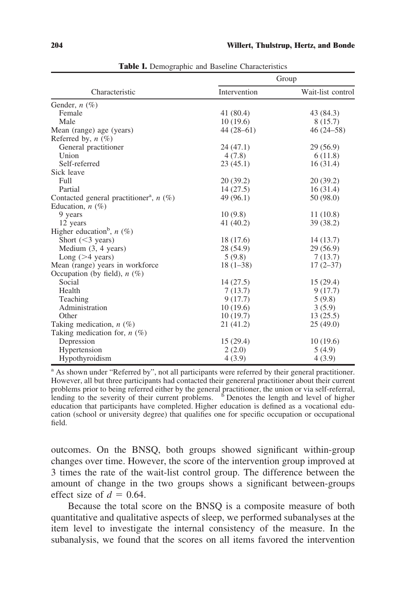|                                                       |              | Group             |
|-------------------------------------------------------|--------------|-------------------|
| Characteristic                                        | Intervention | Wait-list control |
| Gender, $n$ (%)                                       |              |                   |
| Female                                                | 41 (80.4)    | 43 (84.3)         |
| Male                                                  | 10(19.6)     | 8(15.7)           |
| Mean (range) age (years)                              | $44(28-61)$  | $46(24 - 58)$     |
| Referred by, $n$ (%)                                  |              |                   |
| General practitioner                                  | 24(47.1)     | 29 (56.9)         |
| Union                                                 | 4(7.8)       | 6(11.8)           |
| Self-referred                                         | 23(45.1)     | 16(31.4)          |
| Sick leave                                            |              |                   |
| Full                                                  | 20(39.2)     | 20(39.2)          |
| Partial                                               | 14(27.5)     | 16(31.4)          |
| Contacted general practitioner <sup>a</sup> , $n$ (%) | 49 (96.1)    | 50 (98.0)         |
| Education, $n$ (%)                                    |              |                   |
| 9 years                                               | 10(9.8)      | 11(10.8)          |
| 12 years                                              | 41(40.2)     | 39 (38.2)         |
| Higher education <sup>b</sup> , $n$ (%)               |              |                   |
| Short $(<3$ years)                                    | 18 (17.6)    | 14(13.7)          |
| Medium $(3, 4 \text{ years})$                         | 28 (54.9)    | 29(56.9)          |
| Long $($ >4 years)                                    | 5(9.8)       | 7(13.7)           |
| Mean (range) years in workforce                       | $18(1-38)$   | $17(2-37)$        |
| Occupation (by field), $n$ (%)                        |              |                   |
| Social                                                | 14(27.5)     | 15(29.4)          |
| Health                                                | 7(13.7)      | 9(17.7)           |
| Teaching                                              | 9(17.7)      | 5(9.8)            |
| Administration                                        | 10(19.6)     | 3(5.9)            |
| Other                                                 | 10(19.7)     | 13(25.5)          |
| Taking medication, $n$ (%)                            | 21 (41.2)    | 25(49.0)          |
| Taking medication for, $n$ (%)                        |              |                   |
| Depression                                            | 15(29.4)     | 10(19.6)          |
| Hypertension                                          | 2(2.0)       | 5(4.9)            |
| Hypothyroidism                                        | 4 (3.9)      | 4(3.9)            |

**Table 1.** Demographic and Baseline Characteristics

<sup>a</sup> As shown under "Referred by", not all participants were referred by their general practitioner. However, all but three participants had contacted their genereral practitioner about their current problems prior to being referred either by the general practitioner, the union or via self-referral, lending to the severity of their current problems. <sup>b</sup> Denotes the length and level of higher education that participants have completed. Higher education is defined as a vocational education (school or university degree) that qualifies one for specific occupation or occupational field.

outcomes. On the BNSQ, both groups showed significant within-group changes over time. However, the score of the intervention group improved at 3 times the rate of the wait-list control group. The difference between the amount of change in the two groups shows a significant between-groups effect size of  $d = 0.64$ .

Because the total score on the BNSQ is a composite measure of both quantitative and qualitative aspects of sleep, we performed subanalyses at the item level to investigate the internal consistency of the measure. In the subanalysis, we found that the scores on all items favored the intervention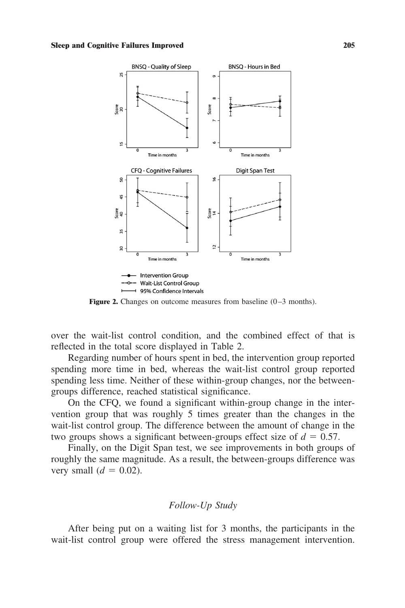

**Figure 2.** Changes on outcome measures from baseline (0–3 months).

over the wait-list control condition, and the combined effect of that is reflected in the total score displayed in Table 2.

Regarding number of hours spent in bed, the intervention group reported spending more time in bed, whereas the wait-list control group reported spending less time. Neither of these within-group changes, nor the betweengroups difference, reached statistical significance.

On the CFQ, we found a significant within-group change in the intervention group that was roughly 5 times greater than the changes in the wait-list control group. The difference between the amount of change in the two groups shows a significant between-groups effect size of  $d = 0.57$ .

Finally, on the Digit Span test, we see improvements in both groups of roughly the same magnitude. As a result, the between-groups difference was very small  $(d = 0.02)$ .

### *Follow-Up Study*

After being put on a waiting list for 3 months, the participants in the wait-list control group were offered the stress management intervention.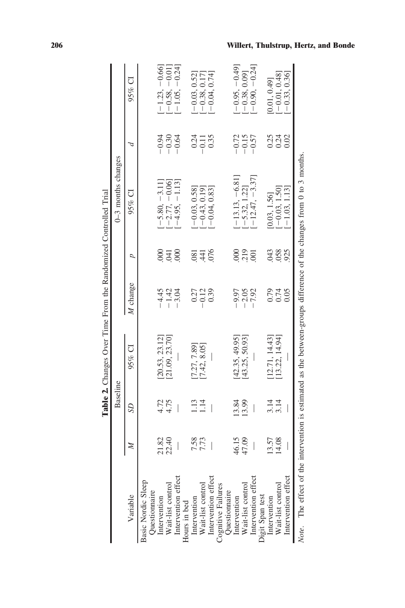|                               |                          |                          | THE BOILD DIGGER COMMUNICATION IN THE TAILY TO BE A CHARGE OF THE REAL PROPERTY OF THE REAL PROPERTY OF THE REAL PROPERTY OF THE REAL PROPERTY OF THE REAL PROPERTY OF THE REAL PROPERTY OF THE REAL PROPERTY OF THE REAL PROP |              |                   |                                                                                                                |         |                     |
|-------------------------------|--------------------------|--------------------------|--------------------------------------------------------------------------------------------------------------------------------------------------------------------------------------------------------------------------------|--------------|-------------------|----------------------------------------------------------------------------------------------------------------|---------|---------------------|
|                               |                          | Baseline                 |                                                                                                                                                                                                                                |              |                   | 0-3 months changes                                                                                             |         |                     |
| Variable                      | $\mathbb{Z}$             | SD                       | $95\%$ CI                                                                                                                                                                                                                      | M change     | D                 | $95\%$ CI                                                                                                      | Þ       | $95%$ CI            |
| Basic Nordic Sleep            |                          |                          |                                                                                                                                                                                                                                |              |                   |                                                                                                                |         |                     |
| Questionnaire<br>Intervention | 21.82                    |                          | 20.53, 23.12]                                                                                                                                                                                                                  | $-4.45$      |                   | $[-5.80, -3.11]$                                                                                               |         | $-1.23, -0.66$      |
| Wait-list control             | 22.40                    | 4.75<br>4.75             | 21.09, 23.70]                                                                                                                                                                                                                  | $-1.42$      | 000<br>041        | $[-2.77, -0.06]$                                                                                               | $-0.30$ | $-0.58, -0.01$ ]    |
| Intervention effect           | $\overline{\phantom{a}}$ | $\overline{\phantom{a}}$ |                                                                                                                                                                                                                                | $-3.04$      | $\approx$         | $-4.95, -1.13$                                                                                                 | $-0.64$ | $-0.24$<br>$-1.05,$ |
| Hours in bed                  |                          |                          |                                                                                                                                                                                                                                |              |                   |                                                                                                                |         |                     |
| Intervention                  | 7.58                     | 1.13                     | 7.27, 7.89]                                                                                                                                                                                                                    | 0.27         |                   | $-0.03, 0.58$                                                                                                  | 0.24    | $-0.03, 0.52$       |
| Wait-list control             | 7.73                     | 1.14                     | 7.42, 8.05]                                                                                                                                                                                                                    | $-0.12$      | 845<br>845        | $-0.43, 0.19$                                                                                                  | $-0.11$ | $-0.38, 0.17$ ]     |
| Intervention effect           | I                        | $\overline{\phantom{a}}$ |                                                                                                                                                                                                                                | 0.39         |                   | $-0.04, 0.83$ ]                                                                                                | 0.35    | $-0.04, 0.74$       |
| Cognitive Failures            |                          |                          |                                                                                                                                                                                                                                |              |                   |                                                                                                                |         |                     |
| Questionnaire                 |                          |                          |                                                                                                                                                                                                                                |              |                   |                                                                                                                |         |                     |
| Intervention                  | 46.15                    | 13.84                    | 42.35, 49.95]                                                                                                                                                                                                                  | $-9.97$      |                   | $-13.13, -6.81$                                                                                                | $-0.72$ | $-0.95, -0.49$ ]    |
| Wait-list control             | 47.09                    | 13.99                    | 43.25, 50.93]                                                                                                                                                                                                                  | $-2.05$      | 000<br>001<br>001 | $-5.32, 1.22$                                                                                                  | $-0.15$ | $-0.38, 0.09$ ]     |
| Intervention effect           | $\overline{\phantom{a}}$ | $\overline{\phantom{a}}$ |                                                                                                                                                                                                                                | $-7.92$      |                   | $-12.47, -3.37$                                                                                                | $-0.57$ | $-0.90, -0.24$      |
| Digit Span test               |                          |                          |                                                                                                                                                                                                                                |              |                   |                                                                                                                |         |                     |
| Intervention                  | 13.57                    |                          | 12.71, 14.43]                                                                                                                                                                                                                  |              |                   | 0.03, 1.56                                                                                                     | 0.25    | $0.01, 0.49$ ]      |
| Wait-list control             | 14.08                    | $3.14$<br>$3.14$         | 13.22, 14.94]                                                                                                                                                                                                                  | 0.74<br>0.74 | $rac{3}{2}$       | $-0.03, 1.50$ ]                                                                                                | 0.24    | $-0.01, 0.48$       |
| Intervention effect           |                          |                          |                                                                                                                                                                                                                                | 0.05         | 925               | $-1.03, 1.13$                                                                                                  | 0.02    | $-0.33, 0.36$       |
| Note.                         |                          |                          |                                                                                                                                                                                                                                |              |                   | The effect of the intervention is estimated as the between-groups difference of the changes from 0 to 3 months |         |                     |

Table 2. Changes Over Time From the Randomized Controlled Trial **Table 2.** Changes Over Time From the Randomized Controlled Trial

# **206 Willert, Thulstrup, Hertz, and Bonde**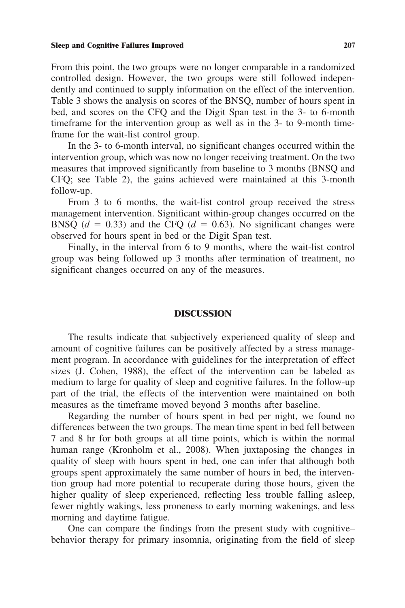From this point, the two groups were no longer comparable in a randomized controlled design. However, the two groups were still followed independently and continued to supply information on the effect of the intervention. Table 3 shows the analysis on scores of the BNSQ, number of hours spent in bed, and scores on the CFQ and the Digit Span test in the 3- to 6-month timeframe for the intervention group as well as in the 3- to 9-month timeframe for the wait-list control group.

In the 3- to 6-month interval, no significant changes occurred within the intervention group, which was now no longer receiving treatment. On the two measures that improved significantly from baseline to 3 months (BNSQ and CFQ; see Table 2), the gains achieved were maintained at this 3-month follow-up.

From 3 to 6 months, the wait-list control group received the stress management intervention. Significant within-group changes occurred on the BNSQ  $(d = 0.33)$  and the CFQ  $(d = 0.63)$ . No significant changes were observed for hours spent in bed or the Digit Span test.

Finally, in the interval from 6 to 9 months, where the wait-list control group was being followed up 3 months after termination of treatment, no significant changes occurred on any of the measures.

#### **DISCUSSION**

The results indicate that subjectively experienced quality of sleep and amount of cognitive failures can be positively affected by a stress management program. In accordance with guidelines for the interpretation of effect sizes (J. Cohen, 1988), the effect of the intervention can be labeled as medium to large for quality of sleep and cognitive failures. In the follow-up part of the trial, the effects of the intervention were maintained on both measures as the timeframe moved beyond 3 months after baseline.

Regarding the number of hours spent in bed per night, we found no differences between the two groups. The mean time spent in bed fell between 7 and 8 hr for both groups at all time points, which is within the normal human range (Kronholm et al., 2008). When juxtaposing the changes in quality of sleep with hours spent in bed, one can infer that although both groups spent approximately the same number of hours in bed, the intervention group had more potential to recuperate during those hours, given the higher quality of sleep experienced, reflecting less trouble falling asleep, fewer nightly wakings, less proneness to early morning wakenings, and less morning and daytime fatigue.

One can compare the findings from the present study with cognitive– behavior therapy for primary insomnia, originating from the field of sleep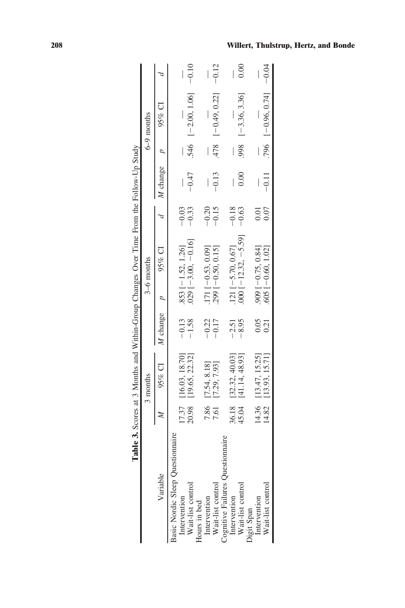|                                  |       | <b>Table 3.</b> Scores at 3 Months and Within-Group Changes Over Time From the Follow-Up Study |                            |                                             |                                                    |                    |                              |      |                                    |      |
|----------------------------------|-------|------------------------------------------------------------------------------------------------|----------------------------|---------------------------------------------|----------------------------------------------------|--------------------|------------------------------|------|------------------------------------|------|
|                                  |       | 3 months                                                                                       |                            | $3-6$ months                                |                                                    |                    |                              |      | $6-9$ months                       |      |
| Variable                         | Þ     |                                                                                                | 95% CI M change $p$ 95% CI |                                             |                                                    |                    | $d$ <i>M</i> change <i>p</i> |      | 95% CI                             |      |
| Basic Nordic Sleep Questionnaire |       |                                                                                                |                            |                                             |                                                    |                    |                              |      |                                    |      |
| Intervention                     | 17.37 | [16.03, 18.70]                                                                                 | $-0.13$                    |                                             |                                                    | $-0.03$            |                              |      |                                    |      |
| Wait-list control                | 20.98 | [19.65, 22.32]                                                                                 | $-1.58$                    | $.853[-1.52, 1.26]$<br>$.029[-3.00, -0.16]$ |                                                    | $-0.33$            | $-0.47$                      |      | $.546$ $[-2.00, 1.06]$ -0.10       |      |
| Hours in bed                     |       |                                                                                                |                            |                                             |                                                    |                    |                              |      |                                    |      |
| Intervention                     | 7.86  |                                                                                                | $-0.22$<br>$-0.17$         |                                             |                                                    | $-0.20$<br>$-0.15$ |                              |      |                                    |      |
| Wait-list control                | 7.61  | $[7.54, 8.18]$<br>$[7.29, 7.93]$                                                               |                            | $.171[-0.53, 0.09]$<br>$.299[-0.50, 0.15]$  |                                                    |                    | $-0.13$                      |      | $-478$ $[-0.49, 0.22]$ $-0.12$     |      |
| Cognitive Failures Quest         |       |                                                                                                |                            |                                             |                                                    |                    |                              |      |                                    |      |
| Intervention                     | 36.18 |                                                                                                | $-2.51$                    |                                             |                                                    | $-0.18$            |                              |      |                                    |      |
| Wait-list control                | 45.04 | $[32.32, 40.03]$<br>[41.14, 48.93]                                                             | $-8.95$                    |                                             | .121 [ $-5.70, 0.67$ ]<br>.000 [ $-12.32, -5.59$ ] | $-0.63$            | 0.00                         | .998 | $[-3.36, 3.36]$                    | 0.00 |
| Digit Span                       |       |                                                                                                |                            |                                             |                                                    |                    |                              |      |                                    |      |
| Intervention                     |       | $14.36$ [13.47, 15.25]                                                                         | 0.05                       | $.909[-0.75, 0.84]$                         |                                                    |                    |                              |      |                                    |      |
| Wait-list control                |       | $14.82$ [13.93, 15.71]                                                                         | 0.21                       | $.605$ [ $-0.60, 1.02$ ]                    |                                                    | 0.07               |                              |      | $-0.11$ .796 $[-0.96, 0.74]$ -0.04 |      |
|                                  |       |                                                                                                |                            |                                             |                                                    |                    |                              |      |                                    |      |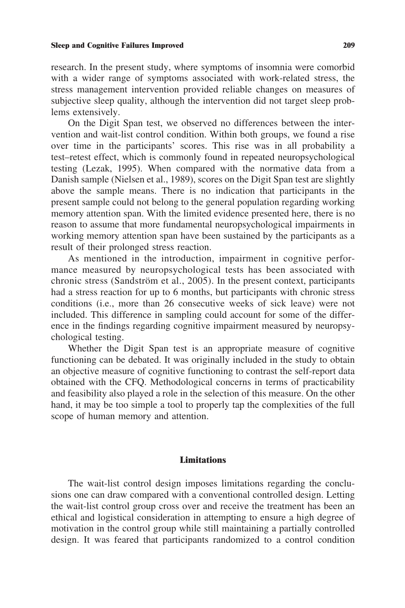research. In the present study, where symptoms of insomnia were comorbid with a wider range of symptoms associated with work-related stress, the stress management intervention provided reliable changes on measures of subjective sleep quality, although the intervention did not target sleep problems extensively.

On the Digit Span test, we observed no differences between the intervention and wait-list control condition. Within both groups, we found a rise over time in the participants' scores. This rise was in all probability a test–retest effect, which is commonly found in repeated neuropsychological testing (Lezak, 1995). When compared with the normative data from a Danish sample (Nielsen et al., 1989), scores on the Digit Span test are slightly above the sample means. There is no indication that participants in the present sample could not belong to the general population regarding working memory attention span. With the limited evidence presented here, there is no reason to assume that more fundamental neuropsychological impairments in working memory attention span have been sustained by the participants as a result of their prolonged stress reaction.

As mentioned in the introduction, impairment in cognitive performance measured by neuropsychological tests has been associated with chronic stress (Sandström et al., 2005). In the present context, participants had a stress reaction for up to 6 months, but participants with chronic stress conditions (i.e., more than 26 consecutive weeks of sick leave) were not included. This difference in sampling could account for some of the difference in the findings regarding cognitive impairment measured by neuropsychological testing.

Whether the Digit Span test is an appropriate measure of cognitive functioning can be debated. It was originally included in the study to obtain an objective measure of cognitive functioning to contrast the self-report data obtained with the CFQ. Methodological concerns in terms of practicability and feasibility also played a role in the selection of this measure. On the other hand, it may be too simple a tool to properly tap the complexities of the full scope of human memory and attention.

### **Limitations**

The wait-list control design imposes limitations regarding the conclusions one can draw compared with a conventional controlled design. Letting the wait-list control group cross over and receive the treatment has been an ethical and logistical consideration in attempting to ensure a high degree of motivation in the control group while still maintaining a partially controlled design. It was feared that participants randomized to a control condition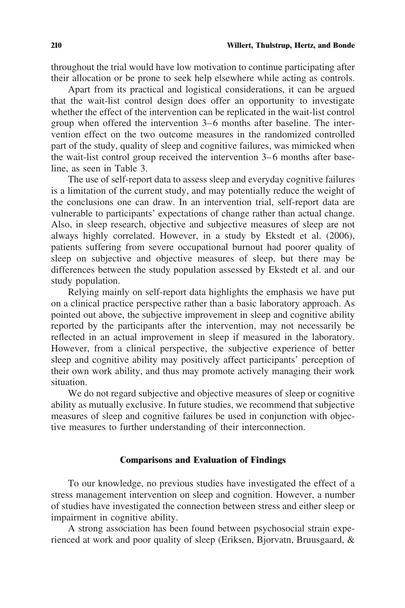throughout the trial would have low motivation to continue participating after their allocation or be prone to seek help elsewhere while acting as controls.

Apart from its practical and logistical considerations, it can be argued that the wait-list control design does offer an opportunity to investigate whether the effect of the intervention can be replicated in the wait-list control group when offered the intervention 3–6 months after baseline. The intervention effect on the two outcome measures in the randomized controlled part of the study, quality of sleep and cognitive failures, was mimicked when the wait-list control group received the intervention 3–6 months after baseline, as seen in Table 3.

The use of self-report data to assess sleep and everyday cognitive failures is a limitation of the current study, and may potentially reduce the weight of the conclusions one can draw. In an intervention trial, self-report data are vulnerable to participants' expectations of change rather than actual change. Also, in sleep research, objective and subjective measures of sleep are not always highly correlated. However, in a study by Ekstedt et al. (2006), patients suffering from severe occupational burnout had poorer quality of sleep on subjective and objective measures of sleep, but there may be differences between the study population assessed by Ekstedt et al. and our study population.

Relying mainly on self-report data highlights the emphasis we have put on a clinical practice perspective rather than a basic laboratory approach. As pointed out above, the subjective improvement in sleep and cognitive ability reported by the participants after the intervention, may not necessarily be reflected in an actual improvement in sleep if measured in the laboratory. However, from a clinical perspective, the subjective experience of better sleep and cognitive ability may positively affect participants' perception of their own work ability, and thus may promote actively managing their work situation.

We do not regard subjective and objective measures of sleep or cognitive ability as mutually exclusive. In future studies, we recommend that subjective measures of sleep and cognitive failures be used in conjunction with objective measures to further understanding of their interconnection.

### **Comparisons and Evaluation of Findings**

To our knowledge, no previous studies have investigated the effect of a stress management intervention on sleep and cognition. However, a number of studies have investigated the connection between stress and either sleep or impairment in cognitive ability.

A strong association has been found between psychosocial strain experienced at work and poor quality of sleep (Eriksen, Bjorvatn, Bruusgaard, &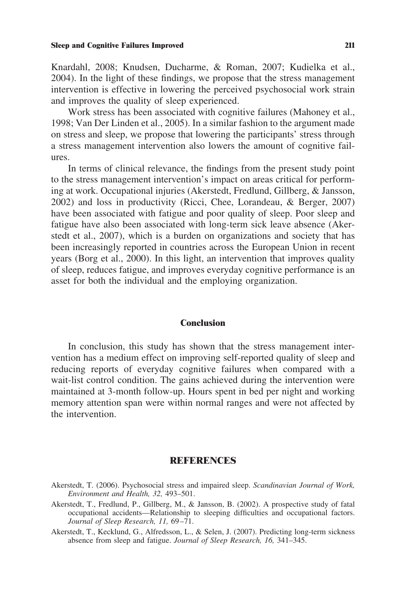Knardahl, 2008; Knudsen, Ducharme, & Roman, 2007; Kudielka et al., 2004). In the light of these findings, we propose that the stress management intervention is effective in lowering the perceived psychosocial work strain and improves the quality of sleep experienced.

Work stress has been associated with cognitive failures (Mahoney et al., 1998; Van Der Linden et al., 2005). In a similar fashion to the argument made on stress and sleep, we propose that lowering the participants' stress through a stress management intervention also lowers the amount of cognitive failures.

In terms of clinical relevance, the findings from the present study point to the stress management intervention's impact on areas critical for performing at work. Occupational injuries (Akerstedt, Fredlund, Gillberg, & Jansson, 2002) and loss in productivity (Ricci, Chee, Lorandeau, & Berger, 2007) have been associated with fatigue and poor quality of sleep. Poor sleep and fatigue have also been associated with long-term sick leave absence (Akerstedt et al., 2007), which is a burden on organizations and society that has been increasingly reported in countries across the European Union in recent years (Borg et al., 2000). In this light, an intervention that improves quality of sleep, reduces fatigue, and improves everyday cognitive performance is an asset for both the individual and the employing organization.

### **Conclusion**

In conclusion, this study has shown that the stress management intervention has a medium effect on improving self-reported quality of sleep and reducing reports of everyday cognitive failures when compared with a wait-list control condition. The gains achieved during the intervention were maintained at 3-month follow-up. Hours spent in bed per night and working memory attention span were within normal ranges and were not affected by the intervention.

### **REFERENCES**

Akerstedt, T. (2006). Psychosocial stress and impaired sleep. *Scandinavian Journal of Work, Environment and Health, 32,* 493–501.

Akerstedt, T., Fredlund, P., Gillberg, M., & Jansson, B. (2002). A prospective study of fatal occupational accidents—Relationship to sleeping difficulties and occupational factors. *Journal of Sleep Research, 11,* 69–71.

Akerstedt, T., Kecklund, G., Alfredsson, L., & Selen, J. (2007). Predicting long-term sickness absence from sleep and fatigue. *Journal of Sleep Research, 16,* 341–345.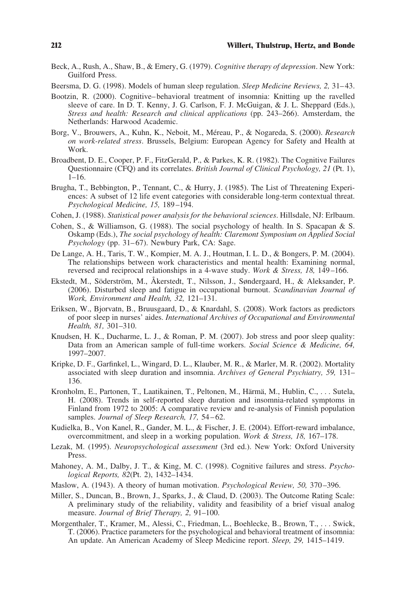- Beck, A., Rush, A., Shaw, B., & Emery, G. (1979). *Cognitive therapy of depression*. New York: Guilford Press.
- Beersma, D. G. (1998). Models of human sleep regulation. *Sleep Medicine Reviews, 2,* 31–43.
- Bootzin, R. (2000). Cognitive–behavioral treatment of insomnia: Knitting up the ravelled sleeve of care. In D. T. Kenny, J. G. Carlson, F. J. McGuigan, & J. L. Sheppard (Eds.), *Stress and health: Research and clinical applications* (pp. 243–266). Amsterdam, the Netherlands: Harwood Academic.
- Borg, V., Brouwers, A., Kuhn, K., Neboit, M., Me´reau, P., & Nogareda, S. (2000). *Research on work-related stress*. Brussels, Belgium: European Agency for Safety and Health at Work.
- Broadbent, D. E., Cooper, P. F., FitzGerald, P., & Parkes, K. R. (1982). The Cognitive Failures Questionnaire (CFQ) and its correlates. *British Journal of Clinical Psychology, 21* (Pt. 1),  $1 - 16$ .
- Brugha, T., Bebbington, P., Tennant, C., & Hurry, J. (1985). The List of Threatening Experiences: A subset of 12 life event categories with considerable long-term contextual threat. *Psychological Medicine, 15,* 189–194.
- Cohen, J. (1988). *Statistical power analysis for the behavioral sciences*. Hillsdale, NJ: Erlbaum.
- Cohen, S., & Williamson, G. (1988). The social psychology of health. In S. Spacapan & S. Oskamp (Eds.), *The social psychology of health: Claremont Symposium on Applied Social Psychology* (pp. 31–67). Newbury Park, CA: Sage.
- De Lange, A. H., Taris, T. W., Kompier, M. A. J., Houtman, I. L. D., & Bongers, P. M. (2004). The relationships between work characteristics and mental health: Examining normal, reversed and reciprocal relationships in a 4-wave study. *Work & Stress, 18,* 149–166.
- Ekstedt, M., Söderström, M., Åkerstedt, T., Nilsson, J., Søndergaard, H., & Aleksander, P. (2006). Disturbed sleep and fatigue in occupational burnout. *Scandinavian Journal of Work, Environment and Health, 32,* 121–131.
- Eriksen, W., Bjorvatn, B., Bruusgaard, D., & Knardahl, S. (2008). Work factors as predictors of poor sleep in nurses' aides. *International Archives of Occupational and Environmental Health, 81,* 301–310.
- Knudsen, H. K., Ducharme, L. J., & Roman, P. M. (2007). Job stress and poor sleep quality: Data from an American sample of full-time workers. *Social Science & Medicine, 64,* 1997–2007.
- Kripke, D. F., Garfinkel, L., Wingard, D. L., Klauber, M. R., & Marler, M. R. (2002). Mortality associated with sleep duration and insomnia. *Archives of General Psychiatry, 59,* 131– 136.
- Kronholm, E., Partonen, T., Laatikainen, T., Peltonen, M., Härmä, M., Hublin, C., ... Sutela, H. (2008). Trends in self-reported sleep duration and insomnia-related symptoms in Finland from 1972 to 2005: A comparative review and re-analysis of Finnish population samples. *Journal of Sleep Research, 17,* 54–62.
- Kudielka, B., Von Kanel, R., Gander, M. L., & Fischer, J. E. (2004). Effort-reward imbalance, overcommitment, and sleep in a working population. *Work & Stress, 18,* 167–178.
- Lezak, M. (1995). *Neuropsychological assessment* (3rd ed.). New York: Oxford University Press.
- Mahoney, A. M., Dalby, J. T., & King, M. C. (1998). Cognitive failures and stress. *Psychological Reports, 82*(Pt. 2), 1432–1434.
- Maslow, A. (1943). A theory of human motivation. *Psychological Review, 50,* 370–396.
- Miller, S., Duncan, B., Brown, J., Sparks, J., & Claud, D. (2003). The Outcome Rating Scale: A preliminary study of the reliability, validity and feasibility of a brief visual analog measure. *Journal of Brief Therapy, 2,* 91–100.
- Morgenthaler, T., Kramer, M., Alessi, C., Friedman, L., Boehlecke, B., Brown, T., . . . Swick, T. (2006). Practice parameters for the psychological and behavioral treatment of insomnia: An update. An American Academy of Sleep Medicine report. *Sleep, 29,* 1415–1419.